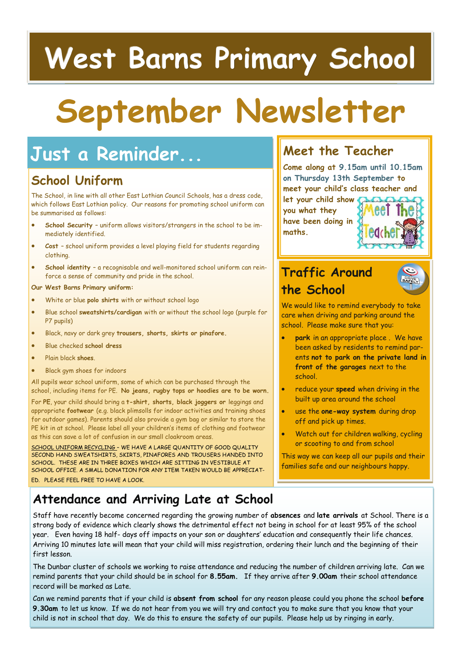## **West Barns Primary School**

# **September Newsletter**

## **Just a Reminder...**

## **School Uniform**

The School, in line with all other East Lothian Council Schools, has a dress code, which follows East Lothian policy. Our reasons for promoting school uniform can be summarised as follows:

- **School Security**  uniform allows visitors/strangers in the school to be immediately identified.
- **Cost**  school uniform provides a level playing field for students regarding clothing.
- **School identity**  a recognisable and well-monitored school uniform can reinforce a sense of community and pride in the school.

**Our West Barns Primary uniform:**

- White or blue **polo shirts** with or without school logo
- Blue school **sweatshirts/cardigan** with or without the school logo (purple for P7 pupils)
- Black, navy or dark grey **trousers, shorts, skirts or pinafore.**
- Blue checked **school dress**
- Plain black **shoes**.
- Black gym shoes for indoors

All pupils wear school uniform, some of which can be purchased through the school, including items for PE. **No jeans, rugby tops or hoodies are to be worn.** 

For **PE**, your child should bring a **t-shirt, shorts, black joggers or** leggings and appropriate **footwear** (e.g. black plimsolls for indoor activities and training shoes for outdoor games). Parents should also provide a gym bag or similar to store the PE kit in at school. Please label all your children's items of clothing and footwear as this can save a lot of confusion in our small cloakroom areas.

SCHOOL UNIFORM RECYCLING – WE HAVE A LARGE QUANTITY OF GOOD QUALITY SECOND HAND SWEATSHIRTS, SKIRTS, PINAFORES AND TROUSERS HANDED INTO SCHOOL. THESE ARE IN THREE BOXES WHICH ARE SITTING IN VESTIBULE AT SCHOOL OFFICE. A SMALL DONATION FOR ANY ITEM TAKEN WOULD BE APPRECIAT-ED. PLEASE FEEL FREE TO HAVE A LOOK.

### **Meet the Teacher**

**Come along at 9.15am until 10.15am on Thursday 13th September to meet your child's class teacher and** 

**let your child show you what they have been doing in maths.** 



## **Traffic Around the School**



We would like to remind everybody to take care when driving and parking around the school. Please make sure that you:

- **park** in an appropriate place . We have been asked by residents to remind parents **not to park on the private land in front of the garages** next to the school.
- reduce your **speed** when driving in the built up area around the school
- use the **one-way system** during drop off and pick up times.
- Watch out for children walking, cycling or scooting to and from school

This way we can keep all our pupils and their families safe and our neighbours happy.

## **Attendance and Arriving Late at School**

Staff have recently become concerned regarding the growing number of **absences** and **late arrivals** at School. There is a strong body of evidence which clearly shows the detrimental effect not being in school for at least 95% of the school year. Even having 18 half- days off impacts on your son or daughters' education and consequently their life chances. Arriving 10 minutes late will mean that your child will miss registration, ordering their lunch and the beginning of their first lesson.

The Dunbar cluster of schools we working to raise attendance and reducing the number of children arriving late. Can we remind parents that your child should be in school for **8.55am.** If they arrive after **9.00am** their school attendance record will be marked as Late.

Can we remind parents that if your child is **absent from school** for any reason please could you phone the school **before 9.30am** to let us know. If we do not hear from you we will try and contact you to make sure that you know that your child is not in school that day. We do this to ensure the safety of our pupils. Please help us by ringing in early.